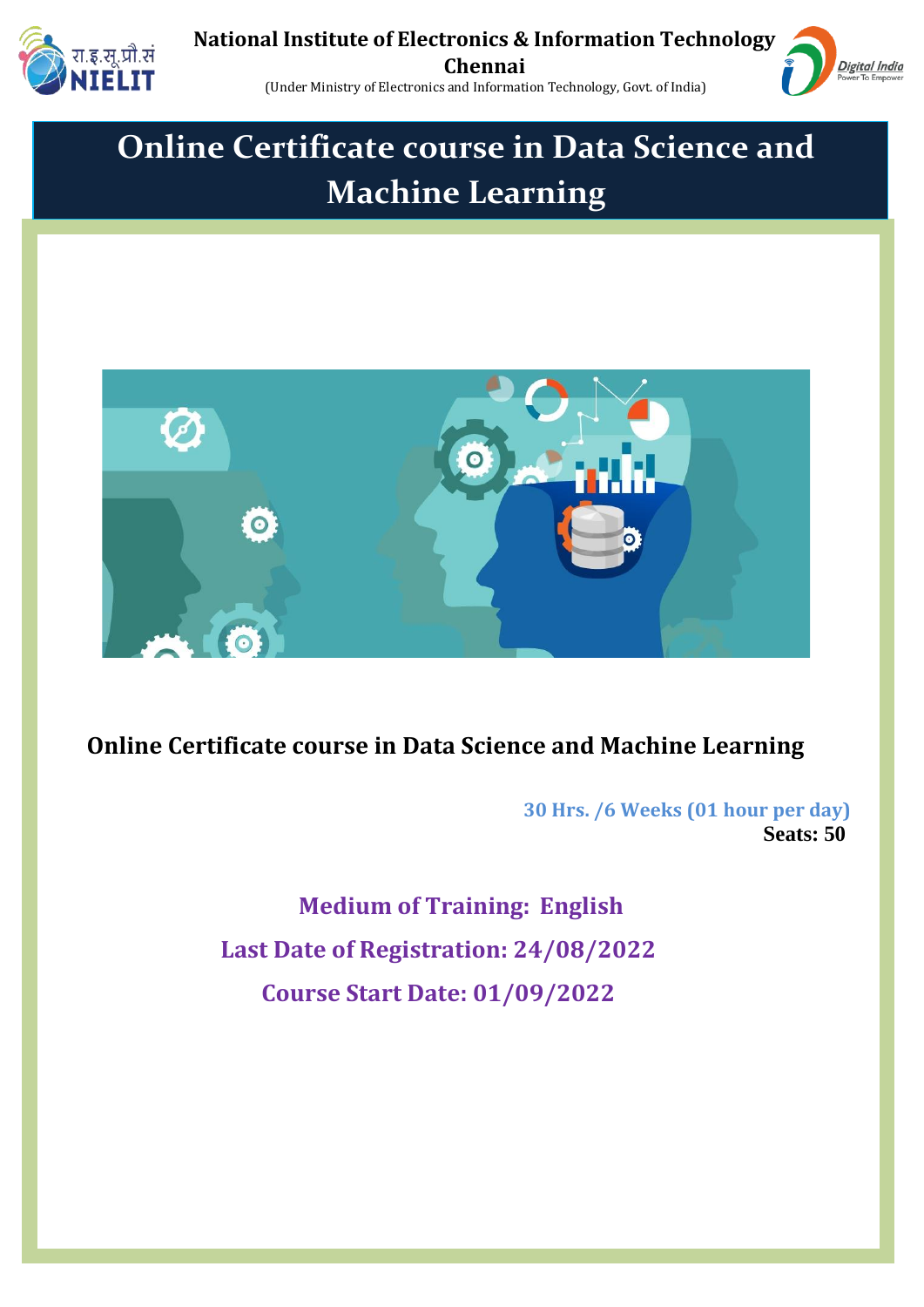



(Under Ministry of Electronics and Information Technology, Govt. of India)

## **Online Certificate course in Data Science and Machine Learning**



## **Online Certificate course in Data Science and Machine Learning**

 **30 Hrs. /6 Weeks (01 hour per day) Seats: 50**

> **Medium of Training: English Last Date of Registration: 24/08/2022 Course Start Date: 01/09/2022**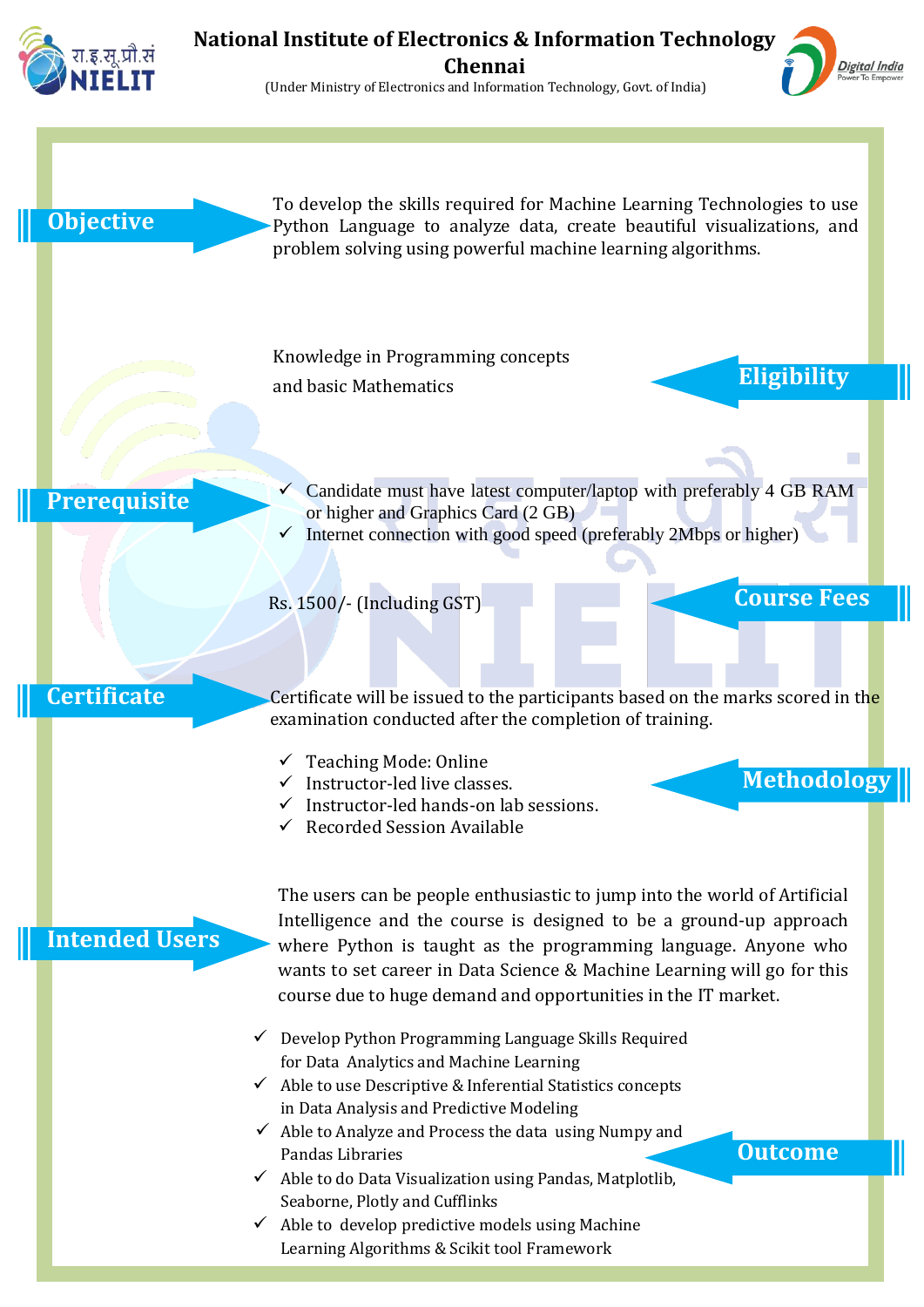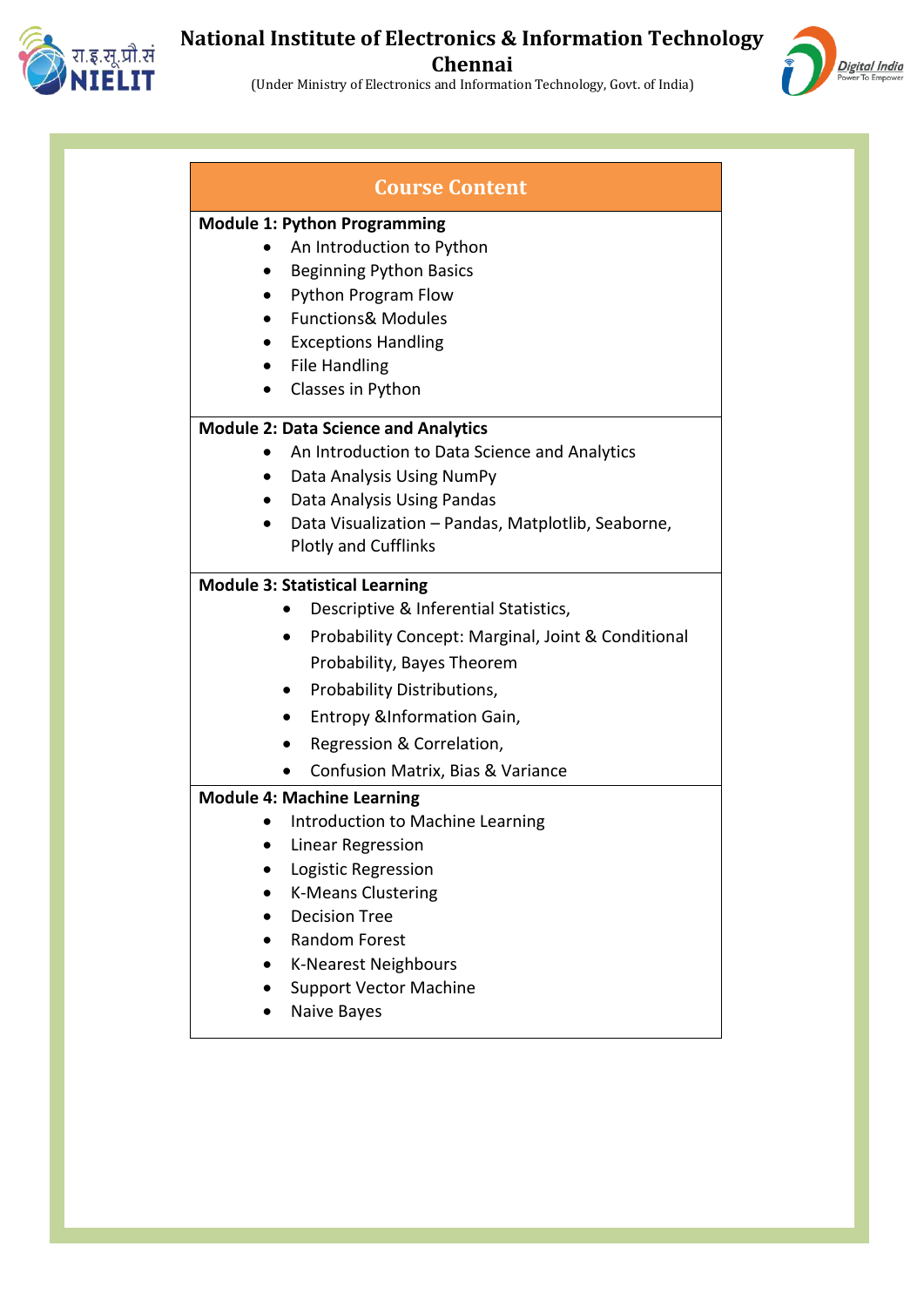

## **National Institute of Electronics & Information Technology Chennai**

(Under Ministry of Electronics and Information Technology, Govt. of India)



|           | <b>Course Content</b>                                           |
|-----------|-----------------------------------------------------------------|
|           | <b>Module 1: Python Programming</b>                             |
|           | An Introduction to Python                                       |
| $\bullet$ | <b>Beginning Python Basics</b>                                  |
|           | Python Program Flow                                             |
| $\bullet$ | <b>Functions&amp; Modules</b>                                   |
|           | <b>Exceptions Handling</b>                                      |
| $\bullet$ | <b>File Handling</b>                                            |
|           | Classes in Python                                               |
|           | <b>Module 2: Data Science and Analytics</b>                     |
|           | An Introduction to Data Science and Analytics                   |
| $\bullet$ | Data Analysis Using NumPy                                       |
|           | Data Analysis Using Pandas                                      |
| $\bullet$ | Data Visualization - Pandas, Matplotlib, Seaborne,              |
|           | <b>Plotly and Cufflinks</b>                                     |
|           | <b>Module 3: Statistical Learning</b>                           |
|           | Descriptive & Inferential Statistics,                           |
|           | Probability Concept: Marginal, Joint & Conditional<br>$\bullet$ |
|           | Probability, Bayes Theorem                                      |
|           | Probability Distributions,<br>$\bullet$                         |
|           | Entropy &Information Gain,<br>$\bullet$                         |
|           | Regression & Correlation,                                       |
|           | Confusion Matrix, Bias & Variance                               |
|           | <b>Module 4: Machine Learning</b>                               |
|           | Introduction to Machine Learning                                |
|           | <b>Linear Regression</b>                                        |
|           | Logistic Regression                                             |
|           | <b>K-Means Clustering</b>                                       |
|           | <b>Decision Tree</b>                                            |
|           | <b>Random Forest</b>                                            |
|           | <b>K-Nearest Neighbours</b>                                     |
|           | <b>Support Vector Machine</b>                                   |
|           | Naive Bayes                                                     |